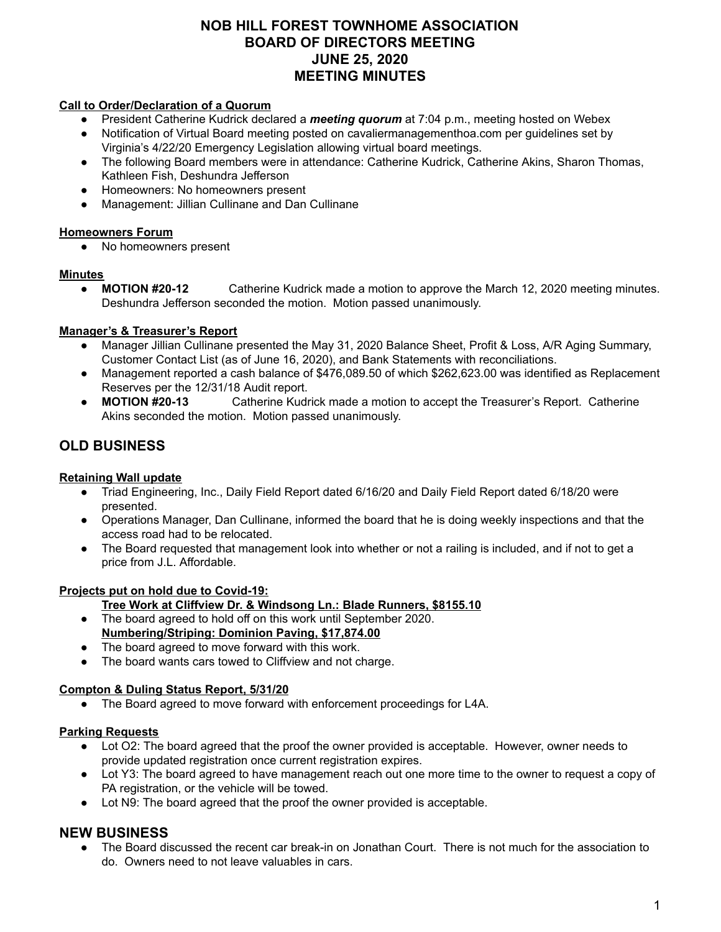# **NOB HILL FOREST TOWNHOME ASSOCIATION BOARD OF DIRECTORS MEETING JUNE 25, 2020 MEETING MINUTES**

### **Call to Order/Declaration of a Quorum**

- President Catherine Kudrick declared a *meeting quorum* at 7:04 p.m., meeting hosted on Webex
- Notification of Virtual Board meeting posted on cavaliermanagementhoa.com per guidelines set by Virginia's 4/22/20 Emergency Legislation allowing virtual board meetings.
- The following Board members were in attendance: Catherine Kudrick, Catherine Akins, Sharon Thomas, Kathleen Fish, Deshundra Jefferson
- Homeowners: No homeowners present
- Management: Jillian Cullinane and Dan Cullinane

## **Homeowners Forum**

● No homeowners present

#### **Minutes**

● **MOTION #20-12** Catherine Kudrick made a motion to approve the March 12, 2020 meeting minutes. Deshundra Jefferson seconded the motion. Motion passed unanimously.

## **Manager's & Treasurer's Report**

- Manager Jillian Cullinane presented the May 31, 2020 Balance Sheet, Profit & Loss, A/R Aging Summary, Customer Contact List (as of June 16, 2020), and Bank Statements with reconciliations.
- Management reported a cash balance of \$476,089.50 of which \$262,623.00 was identified as Replacement Reserves per the 12/31/18 Audit report.
- **MOTION #20-13** Catherine Kudrick made a motion to accept the Treasurer's Report. Catherine Akins seconded the motion. Motion passed unanimously.

# **OLD BUSINESS**

#### **Retaining Wall update**

- Triad Engineering, Inc., Daily Field Report dated 6/16/20 and Daily Field Report dated 6/18/20 were presented.
- Operations Manager, Dan Cullinane, informed the board that he is doing weekly inspections and that the access road had to be relocated.
- The Board requested that management look into whether or not a railing is included, and if not to get a price from J.L. Affordable.

#### **Projects put on hold due to Covid-19:**

- **Tree Work at Cliffview Dr. & Windsong Ln.: Blade Runners, \$8155.10**
- The board agreed to hold off on this work until September 2020. **Numbering/Striping: Dominion Paving, \$17,874.00**
- The board agreed to move forward with this work.
- The board wants cars towed to Cliffview and not charge.

#### **Compton & Duling Status Report, 5/31/20**

● The Board agreed to move forward with enforcement proceedings for L4A.

#### **Parking Requests**

- Lot O2: The board agreed that the proof the owner provided is acceptable. However, owner needs to provide updated registration once current registration expires.
- Lot Y3: The board agreed to have management reach out one more time to the owner to request a copy of PA registration, or the vehicle will be towed.
- Lot N9: The board agreed that the proof the owner provided is acceptable.

# **NEW BUSINESS**

● The Board discussed the recent car break-in on Jonathan Court. There is not much for the association to do. Owners need to not leave valuables in cars.